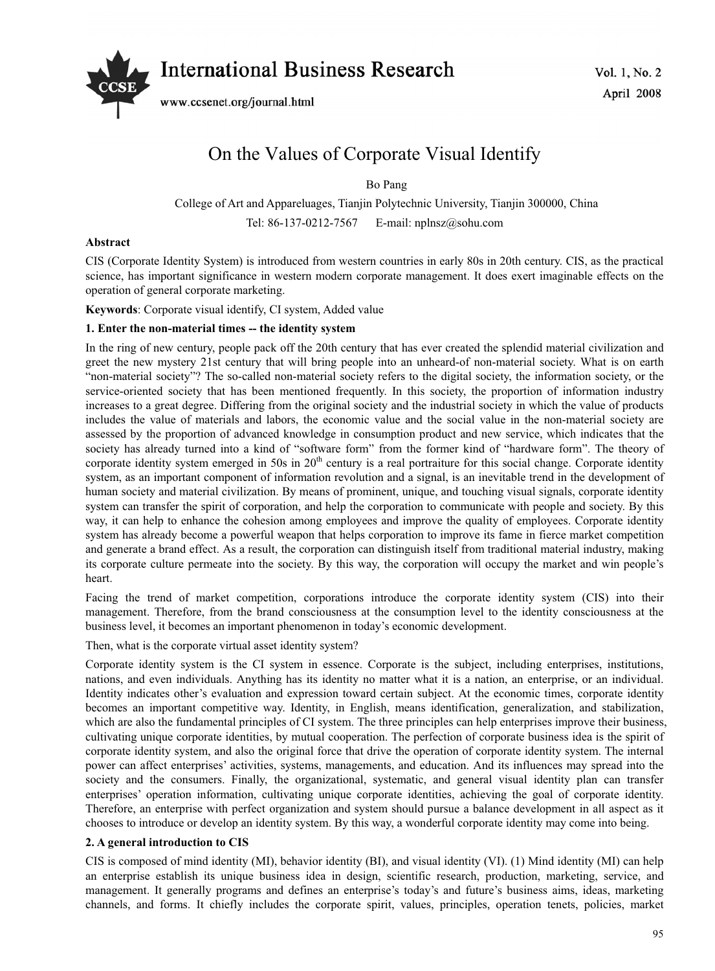**International Business Research** 



www.ccsenet.org/journal.html

# On the Values of Corporate Visual Identify

Bo Pang

College of Art and Appareluages, Tianjin Polytechnic University, Tianjin 300000, China Tel: 86-137-0212-7567 E-mail: nplnsz@sohu.com

#### **Abstract**

CIS (Corporate Identity System) is introduced from western countries in early 80s in 20th century. CIS, as the practical science, has important significance in western modern corporate management. It does exert imaginable effects on the operation of general corporate marketing.

**Keywords**: Corporate visual identify, CI system, Added value

### **1. Enter the non-material times -- the identity system**

In the ring of new century, people pack off the 20th century that has ever created the splendid material civilization and greet the new mystery 21st century that will bring people into an unheard-of non-material society. What is on earth "non-material society"? The so-called non-material society refers to the digital society, the information society, or the service-oriented society that has been mentioned frequently. In this society, the proportion of information industry increases to a great degree. Differing from the original society and the industrial society in which the value of products includes the value of materials and labors, the economic value and the social value in the non-material society are assessed by the proportion of advanced knowledge in consumption product and new service, which indicates that the society has already turned into a kind of "software form" from the former kind of "hardware form". The theory of corporate identity system emerged in 50s in  $20<sup>th</sup>$  century is a real portraiture for this social change. Corporate identity system, as an important component of information revolution and a signal, is an inevitable trend in the development of human society and material civilization. By means of prominent, unique, and touching visual signals, corporate identity system can transfer the spirit of corporation, and help the corporation to communicate with people and society. By this way, it can help to enhance the cohesion among employees and improve the quality of employees. Corporate identity system has already become a powerful weapon that helps corporation to improve its fame in fierce market competition and generate a brand effect. As a result, the corporation can distinguish itself from traditional material industry, making its corporate culture permeate into the society. By this way, the corporation will occupy the market and win people's heart.

Facing the trend of market competition, corporations introduce the corporate identity system (CIS) into their management. Therefore, from the brand consciousness at the consumption level to the identity consciousness at the business level, it becomes an important phenomenon in today's economic development.

Then, what is the corporate virtual asset identity system?

Corporate identity system is the CI system in essence. Corporate is the subject, including enterprises, institutions, nations, and even individuals. Anything has its identity no matter what it is a nation, an enterprise, or an individual. Identity indicates other's evaluation and expression toward certain subject. At the economic times, corporate identity becomes an important competitive way. Identity, in English, means identification, generalization, and stabilization, which are also the fundamental principles of CI system. The three principles can help enterprises improve their business, cultivating unique corporate identities, by mutual cooperation. The perfection of corporate business idea is the spirit of corporate identity system, and also the original force that drive the operation of corporate identity system. The internal power can affect enterprises' activities, systems, managements, and education. And its influences may spread into the society and the consumers. Finally, the organizational, systematic, and general visual identity plan can transfer enterprises' operation information, cultivating unique corporate identities, achieving the goal of corporate identity. Therefore, an enterprise with perfect organization and system should pursue a balance development in all aspect as it chooses to introduce or develop an identity system. By this way, a wonderful corporate identity may come into being.

#### **2. A general introduction to CIS**

CIS is composed of mind identity (MI), behavior identity (BI), and visual identity (VI). (1) Mind identity (MI) can help an enterprise establish its unique business idea in design, scientific research, production, marketing, service, and management. It generally programs and defines an enterprise's today's and future's business aims, ideas, marketing channels, and forms. It chiefly includes the corporate spirit, values, principles, operation tenets, policies, market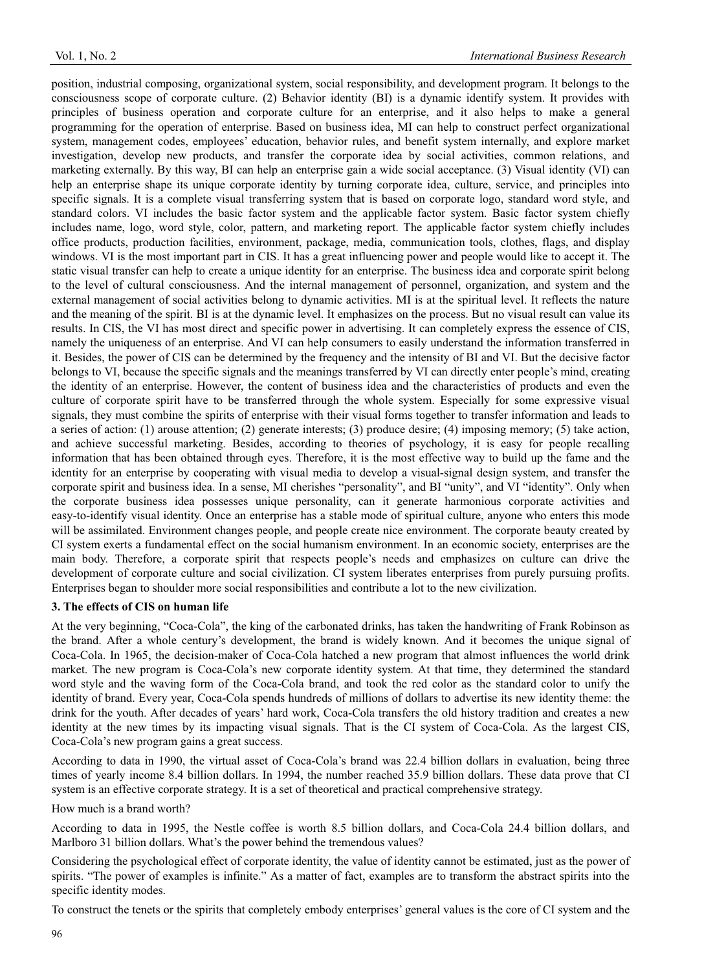position, industrial composing, organizational system, social responsibility, and development program. It belongs to the consciousness scope of corporate culture. (2) Behavior identity (BI) is a dynamic identify system. It provides with principles of business operation and corporate culture for an enterprise, and it also helps to make a general programming for the operation of enterprise. Based on business idea, MI can help to construct perfect organizational system, management codes, employees' education, behavior rules, and benefit system internally, and explore market investigation, develop new products, and transfer the corporate idea by social activities, common relations, and marketing externally. By this way, BI can help an enterprise gain a wide social acceptance. (3) Visual identity (VI) can help an enterprise shape its unique corporate identity by turning corporate idea, culture, service, and principles into specific signals. It is a complete visual transferring system that is based on corporate logo, standard word style, and standard colors. VI includes the basic factor system and the applicable factor system. Basic factor system chiefly includes name, logo, word style, color, pattern, and marketing report. The applicable factor system chiefly includes office products, production facilities, environment, package, media, communication tools, clothes, flags, and display windows. VI is the most important part in CIS. It has a great influencing power and people would like to accept it. The static visual transfer can help to create a unique identity for an enterprise. The business idea and corporate spirit belong to the level of cultural consciousness. And the internal management of personnel, organization, and system and the external management of social activities belong to dynamic activities. MI is at the spiritual level. It reflects the nature and the meaning of the spirit. BI is at the dynamic level. It emphasizes on the process. But no visual result can value its results. In CIS, the VI has most direct and specific power in advertising. It can completely express the essence of CIS, namely the uniqueness of an enterprise. And VI can help consumers to easily understand the information transferred in it. Besides, the power of CIS can be determined by the frequency and the intensity of BI and VI. But the decisive factor belongs to VI, because the specific signals and the meanings transferred by VI can directly enter people's mind, creating the identity of an enterprise. However, the content of business idea and the characteristics of products and even the culture of corporate spirit have to be transferred through the whole system. Especially for some expressive visual signals, they must combine the spirits of enterprise with their visual forms together to transfer information and leads to a series of action: (1) arouse attention; (2) generate interests; (3) produce desire; (4) imposing memory; (5) take action, and achieve successful marketing. Besides, according to theories of psychology, it is easy for people recalling information that has been obtained through eyes. Therefore, it is the most effective way to build up the fame and the identity for an enterprise by cooperating with visual media to develop a visual-signal design system, and transfer the corporate spirit and business idea. In a sense, MI cherishes "personality", and BI "unity", and VI "identity". Only when the corporate business idea possesses unique personality, can it generate harmonious corporate activities and easy-to-identify visual identity. Once an enterprise has a stable mode of spiritual culture, anyone who enters this mode will be assimilated. Environment changes people, and people create nice environment. The corporate beauty created by CI system exerts a fundamental effect on the social humanism environment. In an economic society, enterprises are the main body. Therefore, a corporate spirit that respects people's needs and emphasizes on culture can drive the development of corporate culture and social civilization. CI system liberates enterprises from purely pursuing profits. Enterprises began to shoulder more social responsibilities and contribute a lot to the new civilization.

#### **3. The effects of CIS on human life**

At the very beginning, "Coca-Cola", the king of the carbonated drinks, has taken the handwriting of Frank Robinson as the brand. After a whole century's development, the brand is widely known. And it becomes the unique signal of Coca-Cola. In 1965, the decision-maker of Coca-Cola hatched a new program that almost influences the world drink market. The new program is Coca-Cola's new corporate identity system. At that time, they determined the standard word style and the waving form of the Coca-Cola brand, and took the red color as the standard color to unify the identity of brand. Every year, Coca-Cola spends hundreds of millions of dollars to advertise its new identity theme: the drink for the youth. After decades of years' hard work, Coca-Cola transfers the old history tradition and creates a new identity at the new times by its impacting visual signals. That is the CI system of Coca-Cola. As the largest CIS, Coca-Cola's new program gains a great success.

According to data in 1990, the virtual asset of Coca-Cola's brand was 22.4 billion dollars in evaluation, being three times of yearly income 8.4 billion dollars. In 1994, the number reached 35.9 billion dollars. These data prove that CI system is an effective corporate strategy. It is a set of theoretical and practical comprehensive strategy.

How much is a brand worth?

According to data in 1995, the Nestle coffee is worth 8.5 billion dollars, and Coca-Cola 24.4 billion dollars, and Marlboro 31 billion dollars. What's the power behind the tremendous values?

Considering the psychological effect of corporate identity, the value of identity cannot be estimated, just as the power of spirits. "The power of examples is infinite." As a matter of fact, examples are to transform the abstract spirits into the specific identity modes.

To construct the tenets or the spirits that completely embody enterprises' general values is the core of CI system and the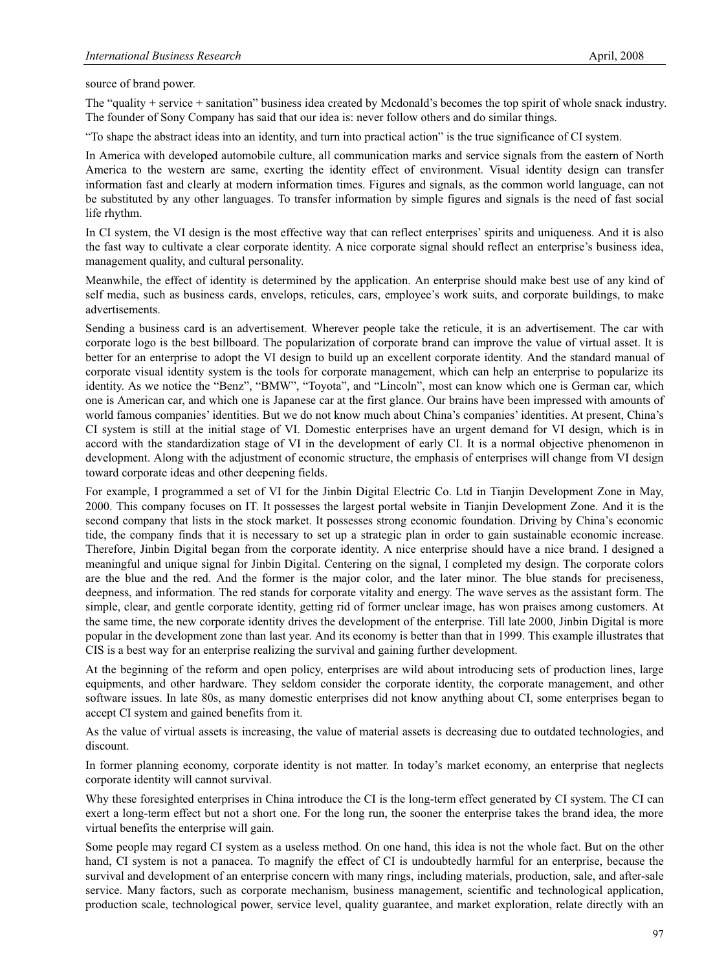source of brand power.

The "quality + service + sanitation" business idea created by Mcdonald's becomes the top spirit of whole snack industry. The founder of Sony Company has said that our idea is: never follow others and do similar things.

"To shape the abstract ideas into an identity, and turn into practical action" is the true significance of CI system.

In America with developed automobile culture, all communication marks and service signals from the eastern of North America to the western are same, exerting the identity effect of environment. Visual identity design can transfer information fast and clearly at modern information times. Figures and signals, as the common world language, can not be substituted by any other languages. To transfer information by simple figures and signals is the need of fast social life rhythm.

In CI system, the VI design is the most effective way that can reflect enterprises' spirits and uniqueness. And it is also the fast way to cultivate a clear corporate identity. A nice corporate signal should reflect an enterprise's business idea, management quality, and cultural personality.

Meanwhile, the effect of identity is determined by the application. An enterprise should make best use of any kind of self media, such as business cards, envelops, reticules, cars, employee's work suits, and corporate buildings, to make advertisements.

Sending a business card is an advertisement. Wherever people take the reticule, it is an advertisement. The car with corporate logo is the best billboard. The popularization of corporate brand can improve the value of virtual asset. It is better for an enterprise to adopt the VI design to build up an excellent corporate identity. And the standard manual of corporate visual identity system is the tools for corporate management, which can help an enterprise to popularize its identity. As we notice the "Benz", "BMW", "Toyota", and "Lincoln", most can know which one is German car, which one is American car, and which one is Japanese car at the first glance. Our brains have been impressed with amounts of world famous companies' identities. But we do not know much about China's companies' identities. At present, China's CI system is still at the initial stage of VI. Domestic enterprises have an urgent demand for VI design, which is in accord with the standardization stage of VI in the development of early CI. It is a normal objective phenomenon in development. Along with the adjustment of economic structure, the emphasis of enterprises will change from VI design toward corporate ideas and other deepening fields.

For example, I programmed a set of VI for the Jinbin Digital Electric Co. Ltd in Tianjin Development Zone in May, 2000. This company focuses on IT. It possesses the largest portal website in Tianjin Development Zone. And it is the second company that lists in the stock market. It possesses strong economic foundation. Driving by China's economic tide, the company finds that it is necessary to set up a strategic plan in order to gain sustainable economic increase. Therefore, Jinbin Digital began from the corporate identity. A nice enterprise should have a nice brand. I designed a meaningful and unique signal for Jinbin Digital. Centering on the signal, I completed my design. The corporate colors are the blue and the red. And the former is the major color, and the later minor. The blue stands for preciseness, deepness, and information. The red stands for corporate vitality and energy. The wave serves as the assistant form. The simple, clear, and gentle corporate identity, getting rid of former unclear image, has won praises among customers. At the same time, the new corporate identity drives the development of the enterprise. Till late 2000, Jinbin Digital is more popular in the development zone than last year. And its economy is better than that in 1999. This example illustrates that CIS is a best way for an enterprise realizing the survival and gaining further development.

At the beginning of the reform and open policy, enterprises are wild about introducing sets of production lines, large equipments, and other hardware. They seldom consider the corporate identity, the corporate management, and other software issues. In late 80s, as many domestic enterprises did not know anything about CI, some enterprises began to accept CI system and gained benefits from it.

As the value of virtual assets is increasing, the value of material assets is decreasing due to outdated technologies, and discount.

In former planning economy, corporate identity is not matter. In today's market economy, an enterprise that neglects corporate identity will cannot survival.

Why these foresighted enterprises in China introduce the CI is the long-term effect generated by CI system. The CI can exert a long-term effect but not a short one. For the long run, the sooner the enterprise takes the brand idea, the more virtual benefits the enterprise will gain.

Some people may regard CI system as a useless method. On one hand, this idea is not the whole fact. But on the other hand, CI system is not a panacea. To magnify the effect of CI is undoubtedly harmful for an enterprise, because the survival and development of an enterprise concern with many rings, including materials, production, sale, and after-sale service. Many factors, such as corporate mechanism, business management, scientific and technological application, production scale, technological power, service level, quality guarantee, and market exploration, relate directly with an